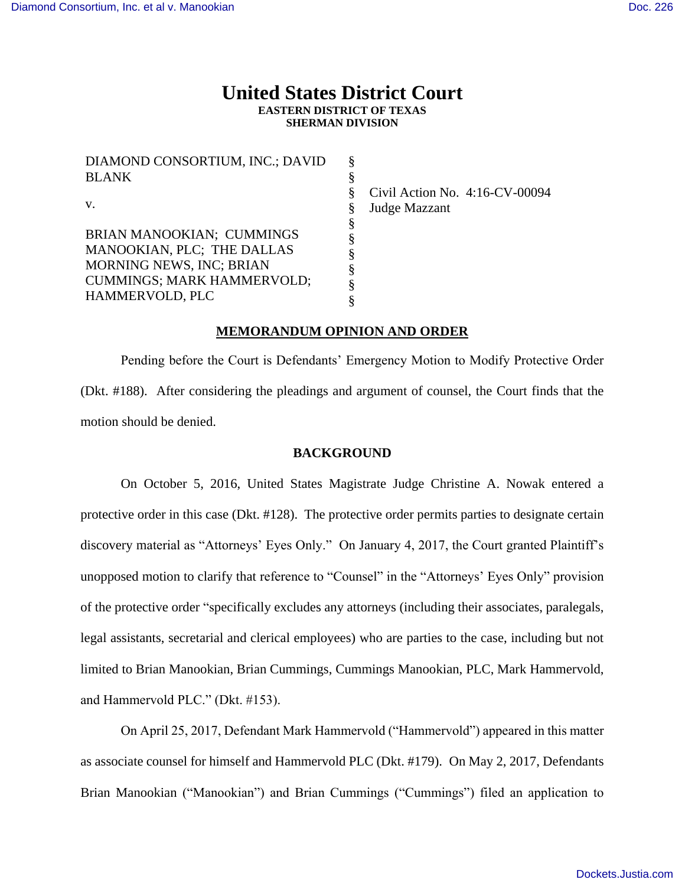# **United States District Court EASTERN DISTRICT OF TEXAS SHERMAN DIVISION**

§ § § § § § § § § §

DIAMOND CONSORTIUM, INC.; DAVID BLANK v. BRIAN MANOOKIAN; CUMMINGS MANOOKIAN, PLC; THE DALLAS MORNING NEWS, INC; BRIAN CUMMINGS; MARK HAMMERVOLD; HAMMERVOLD, PLC

Civil Action No. 4:16-CV-00094 Judge Mazzant

## **MEMORANDUM OPINION AND ORDER**

Pending before the Court is Defendants' Emergency Motion to Modify Protective Order (Dkt. #188). After considering the pleadings and argument of counsel, the Court finds that the motion should be denied.

## **BACKGROUND**

On October 5, 2016, United States Magistrate Judge Christine A. Nowak entered a protective order in this case (Dkt. #128). The protective order permits parties to designate certain discovery material as "Attorneys' Eyes Only." On January 4, 2017, the Court granted Plaintiff's unopposed motion to clarify that reference to "Counsel" in the "Attorneys' Eyes Only" provision of the protective order "specifically excludes any attorneys (including their associates, paralegals, legal assistants, secretarial and clerical employees) who are parties to the case, including but not limited to Brian Manookian, Brian Cummings, Cummings Manookian, PLC, Mark Hammervold, and Hammervold PLC." (Dkt. #153).

On April 25, 2017, Defendant Mark Hammervold ("Hammervold") appeared in this matter as associate counsel for himself and Hammervold PLC (Dkt. #179). On May 2, 2017, Defendants Brian Manookian ("Manookian") and Brian Cummings ("Cummings") filed an application to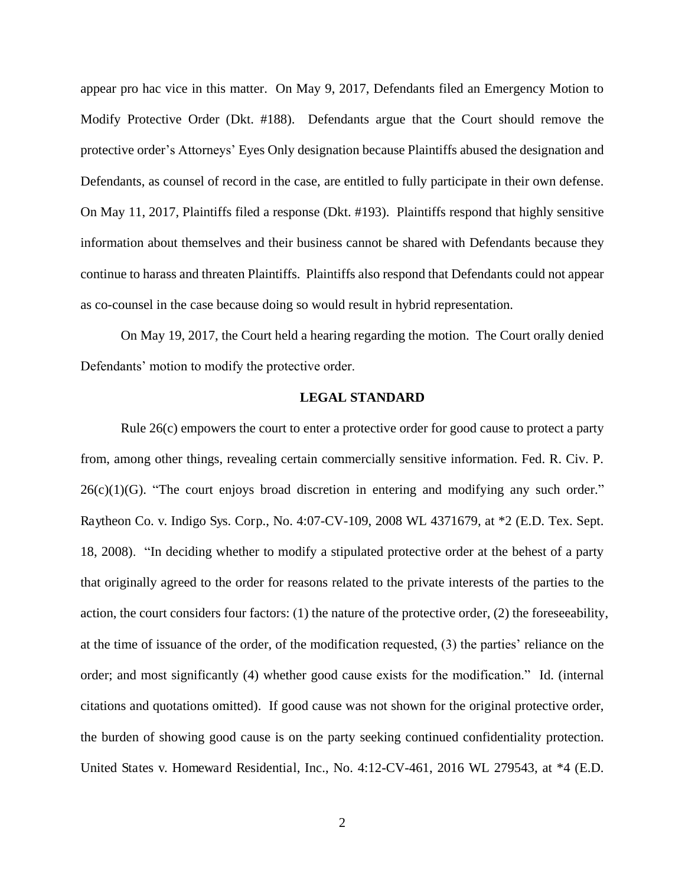appear pro hac vice in this matter. On May 9, 2017, Defendants filed an Emergency Motion to Modify Protective Order (Dkt. #188). Defendants argue that the Court should remove the protective order's Attorneys' Eyes Only designation because Plaintiffs abused the designation and Defendants, as counsel of record in the case, are entitled to fully participate in their own defense. On May 11, 2017, Plaintiffs filed a response (Dkt. #193). Plaintiffs respond that highly sensitive information about themselves and their business cannot be shared with Defendants because they continue to harass and threaten Plaintiffs. Plaintiffs also respond that Defendants could not appear as co-counsel in the case because doing so would result in hybrid representation.

On May 19, 2017, the Court held a hearing regarding the motion. The Court orally denied Defendants' motion to modify the protective order.

### **LEGAL STANDARD**

Rule 26(c) empowers the court to enter a protective order for good cause to protect a party from, among other things, revealing certain commercially sensitive information. Fed. R. Civ. P.  $26(c)(1)(G)$ . "The court enjoys broad discretion in entering and modifying any such order." Raytheon Co. v. Indigo Sys. Corp., No. 4:07-CV-109, 2008 WL 4371679, at \*2 (E.D. Tex. Sept. 18, 2008). "In deciding whether to modify a stipulated protective order at the behest of a party that originally agreed to the order for reasons related to the private interests of the parties to the action, the court considers four factors: (1) the nature of the protective order, (2) the foreseeability, at the time of issuance of the order, of the modification requested, (3) the parties' reliance on the order; and most significantly (4) whether good cause exists for the modification." Id. (internal citations and quotations omitted). If good cause was not shown for the original protective order, the burden of showing good cause is on the party seeking continued confidentiality protection. United States v. Homeward Residential, Inc., No. 4:12-CV-461, 2016 WL 279543, at \*4 (E.D.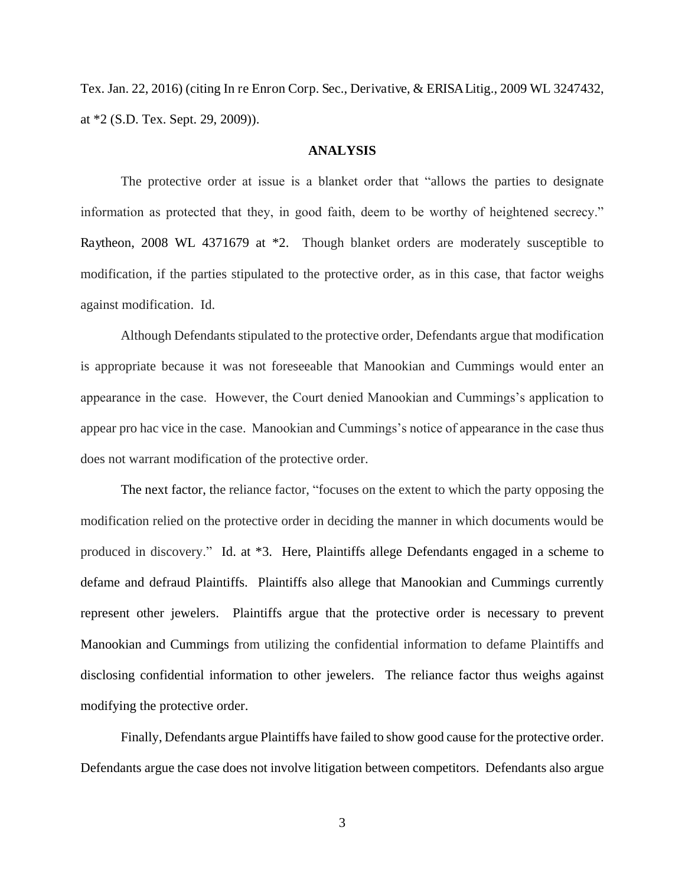Tex. Jan. 22, 2016) (citing In re Enron Corp. Sec., Derivative, & ERISA Litig., 2009 WL 3247432, at \*2 (S.D. Tex. Sept. 29, 2009)).

## **ANALYSIS**

The protective order at issue is a blanket order that "allows the parties to designate information as protected that they, in good faith, deem to be worthy of heightened secrecy." Raytheon, 2008 WL 4371679 at \*2. Though blanket orders are moderately susceptible to modification, if the parties stipulated to the protective order, as in this case, that factor weighs against modification. Id.

Although Defendants stipulated to the protective order, Defendants argue that modification is appropriate because it was not foreseeable that Manookian and Cummings would enter an appearance in the case. However, the Court denied Manookian and Cummings's application to appear pro hac vice in the case. Manookian and Cummings's notice of appearance in the case thus does not warrant modification of the protective order.

The next factor, the reliance factor, "focuses on the extent to which the party opposing the modification relied on the protective order in deciding the manner in which documents would be produced in discovery." Id. at \*3. Here, Plaintiffs allege Defendants engaged in a scheme to defame and defraud Plaintiffs. Plaintiffs also allege that Manookian and Cummings currently represent other jewelers. Plaintiffs argue that the protective order is necessary to prevent Manookian and Cummings from utilizing the confidential information to defame Plaintiffs and disclosing confidential information to other jewelers. The reliance factor thus weighs against modifying the protective order.

Finally, Defendants argue Plaintiffs have failed to show good cause for the protective order. Defendants argue the case does not involve litigation between competitors. Defendants also argue